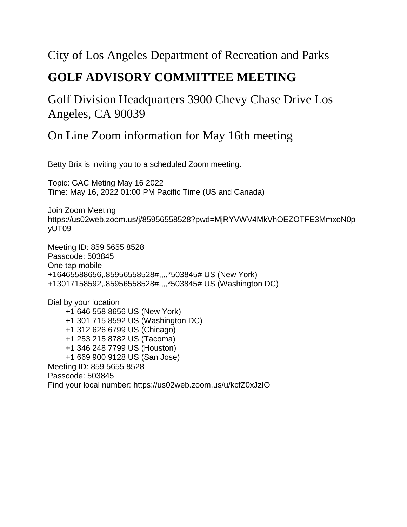#### City of Los Angeles Department of Recreation and Parks

#### **GOLF ADVISORY COMMITTEE MEETING**

#### Golf Division Headquarters 3900 Chevy Chase Drive Los Angeles, CA 90039

#### On Line Zoom information for May 16th meeting

Betty Brix is inviting you to a scheduled Zoom meeting.

Topic: GAC Meting May 16 2022 Time: May 16, 2022 01:00 PM Pacific Time (US and Canada)

Join Zoom Meeting https://us02web.zoom.us/j/85956558528?pwd=MjRYVWV4MkVhOEZOTFE3MmxoN0p yUT09

Meeting ID: 859 5655 8528 Passcode: 503845 One tap mobile +16465588656,,85956558528#,,,,\*503845# US (New York) +13017158592,,85956558528#,,,,\*503845# US (Washington DC)

Dial by your location +1 646 558 8656 US (New York) +1 301 715 8592 US (Washington DC) +1 312 626 6799 US (Chicago) +1 253 215 8782 US (Tacoma) +1 346 248 7799 US (Houston) +1 669 900 9128 US (San Jose) Meeting ID: 859 5655 8528 Passcode: 503845 Find your local number: https://us02web.zoom.us/u/kcfZ0xJzIO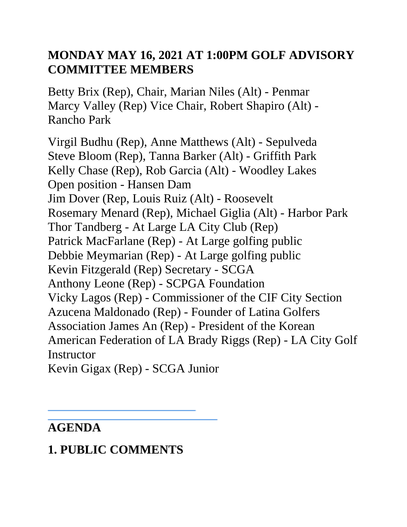### **MONDAY MAY 16, 2021 AT 1:00PM GOLF ADVISORY COMMITTEE MEMBERS**

Betty Brix (Rep), Chair, Marian Niles (Alt) - Penmar Marcy Valley (Rep) Vice Chair, Robert Shapiro (Alt) - Rancho Park

Virgil Budhu (Rep), Anne Matthews (Alt) - Sepulveda Steve Bloom (Rep), Tanna Barker (Alt) - Griffith Park Kelly Chase (Rep), Rob Garcia (Alt) - Woodley Lakes Open position - Hansen Dam Jim Dover (Rep, Louis Ruiz (Alt) - Roosevelt Rosemary Menard (Rep), Michael Giglia (Alt) - Harbor Park Thor Tandberg - At Large LA City Club (Rep) Patrick MacFarlane (Rep) - At Large golfing public Debbie Meymarian (Rep) - At Large golfing public Kevin Fitzgerald (Rep) Secretary - SCGA Anthony Leone (Rep) - SCPGA Foundation Vicky Lagos (Rep) - Commissioner of the CIF City Section Azucena Maldonado (Rep) - Founder of Latina Golfers Association James An (Rep) - President of the Korean American Federation of LA Brady Riggs (Rep) - LA City Golf **Instructor** 

Kevin Gigax (Rep) - SCGA Junior

## **AGENDA**

# **1. PUBLIC COMMENTS**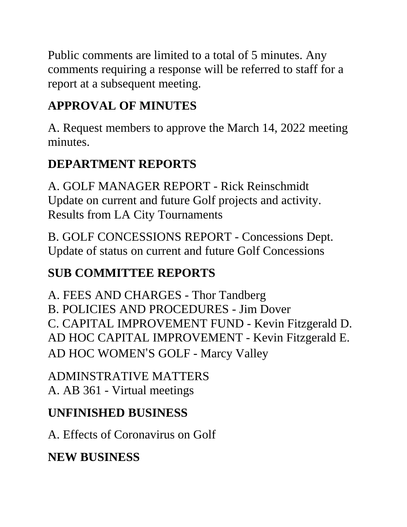Public comments are limited to a total of 5 minutes. Any comments requiring a response will be referred to staff for a report at a subsequent meeting.

# **APPROVAL OF MINUTES**

A. Request members to approve the March 14, 2022 meeting minutes.

# **DEPARTMENT REPORTS**

A. GOLF MANAGER REPORT - Rick Reinschmidt Update on current and future Golf projects and activity. Results from LA City Tournaments

B. GOLF CONCESSIONS REPORT - Concessions Dept. Update of status on current and future Golf Concessions

# **SUB COMMITTEE REPORTS**

A. FEES AND CHARGES - Thor Tandberg B. POLICIES AND PROCEDURES - Jim Dover C. CAPITAL IMPROVEMENT FUND - Kevin Fitzgerald D. AD HOC CAPITAL IMPROVEMENT - Kevin Fitzgerald E. AD HOC WOMEN'S GOLF - Marcy Valley

ADMINSTRATIVE MATTERS A. AB 361 - Virtual meetings

## **UNFINISHED BUSINESS**

A. Effects of Coronavirus on Golf

## **NEW BUSINESS**